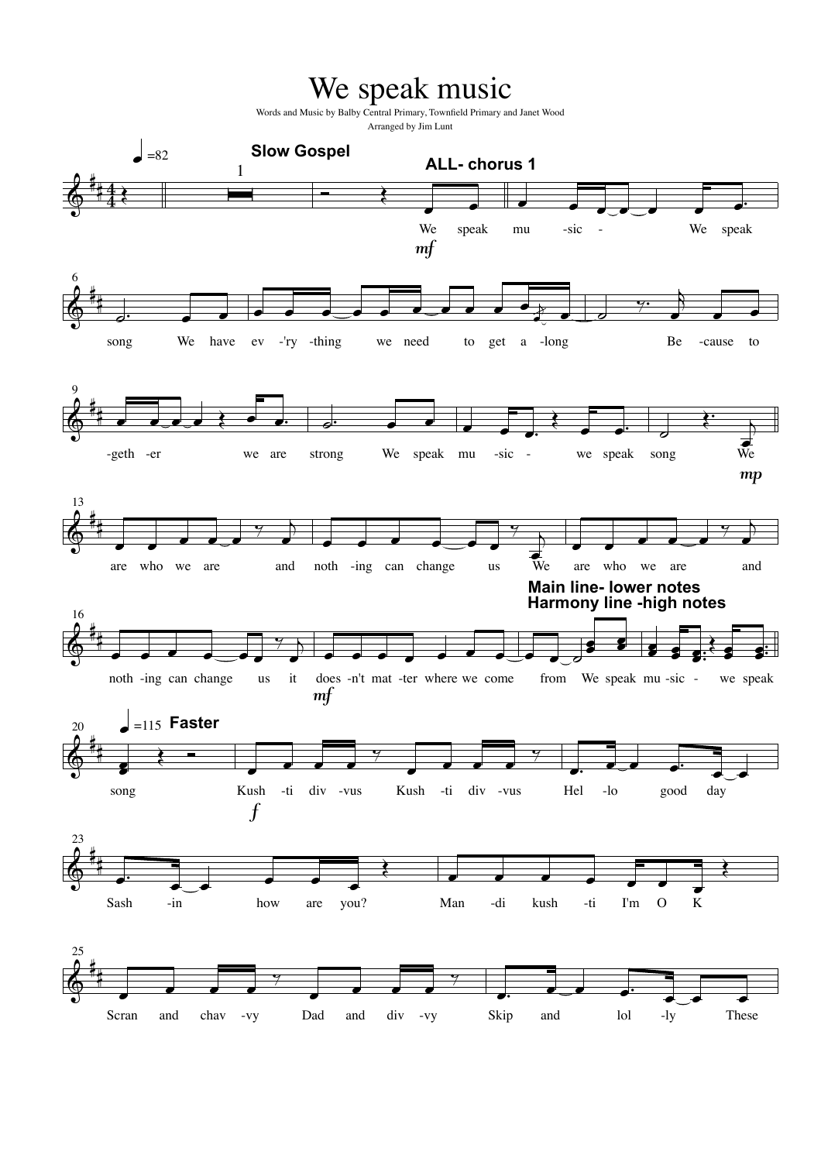## We speak music

Words and Music by Balby Central Primary, Townfield Primary and Janet Wood Arranged by Jim Lunt

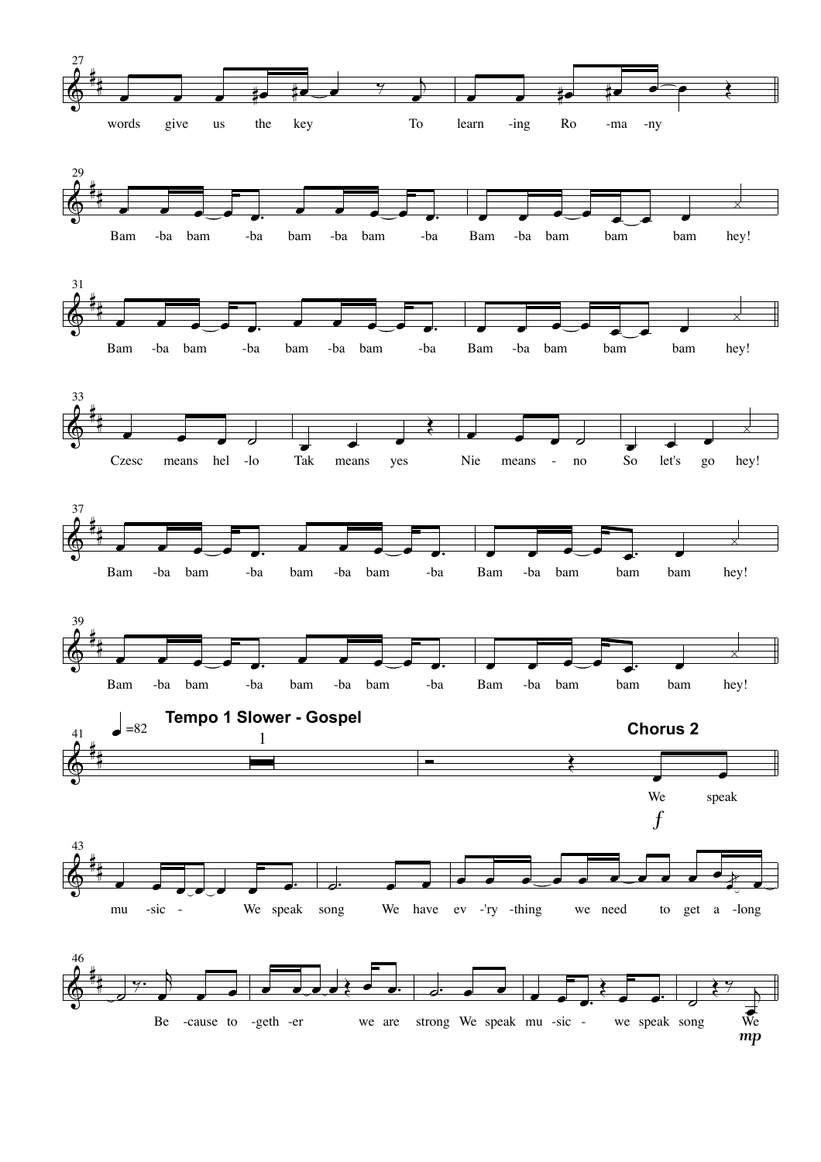